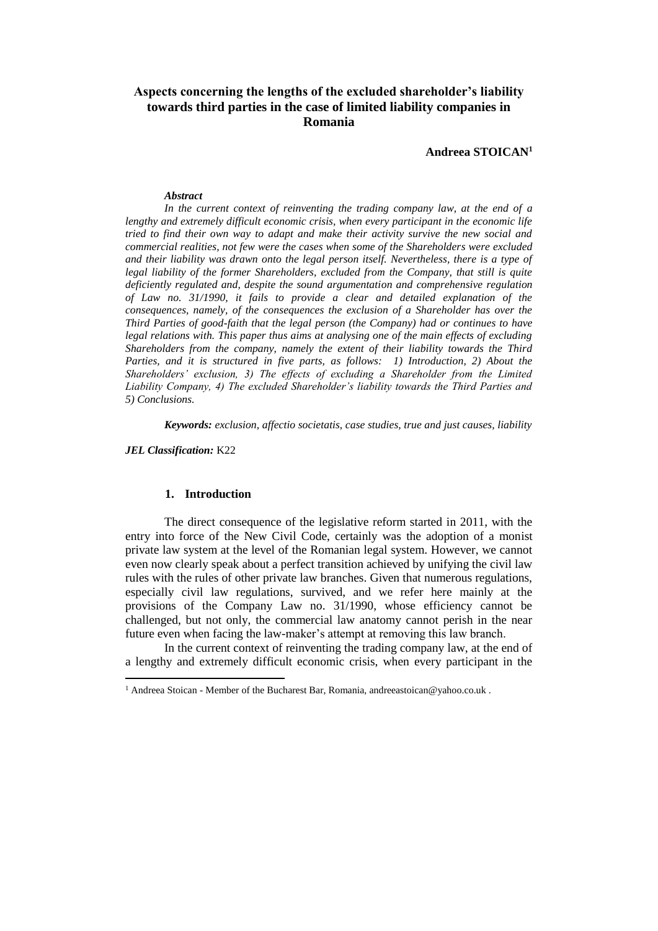# **Aspects concerning the lengths of the excluded shareholder's liability towards third parties in the case of limited liability companies in Romania**

**Andreea STOICAN<sup>1</sup>**

#### *Abstract*

*In the current context of reinventing the trading company law, at the end of a lengthy and extremely difficult economic crisis, when every participant in the economic life tried to find their own way to adapt and make their activity survive the new social and commercial realities, not few were the cases when some of the Shareholders were excluded and their liability was drawn onto the legal person itself. Nevertheless, there is a type of legal liability of the former Shareholders, excluded from the Company, that still is quite deficiently regulated and, despite the sound argumentation and comprehensive regulation of Law no. 31/1990, it fails to provide a clear and detailed explanation of the consequences, namely, of the consequences the exclusion of a Shareholder has over the Third Parties of good-faith that the legal person (the Company) had or continues to have legal relations with. This paper thus aims at analysing one of the main effects of excluding Shareholders from the company, namely the extent of their liability towards the Third*  Parties, and it is structured in five parts, as follows: 1) Introduction, 2) About the *Shareholders' exclusion, 3) The effects of excluding a Shareholder from the Limited Liability Company, 4) The excluded Shareholder's liability towards the Third Parties and 5) Conclusions.*

*Keywords: exclusion, affectio societatis, case studies, true and just causes, liability*

*JEL Classification:* K22

 $\overline{\phantom{a}}$ 

### **1. Introduction**

The direct consequence of the legislative reform started in 2011, with the entry into force of the New Civil Code, certainly was the adoption of a monist private law system at the level of the Romanian legal system. However, we cannot even now clearly speak about a perfect transition achieved by unifying the civil law rules with the rules of other private law branches. Given that numerous regulations, especially civil law regulations, survived, and we refer here mainly at the provisions of the Company Law no. 31/1990, whose efficiency cannot be challenged, but not only, the commercial law anatomy cannot perish in the near future even when facing the law-maker's attempt at removing this law branch.

In the current context of reinventing the trading company law, at the end of a lengthy and extremely difficult economic crisis, when every participant in the

<sup>&</sup>lt;sup>1</sup> Andreea Stoican - Member of the Bucharest Bar, Romania, andreeastoican@yahoo.co.uk.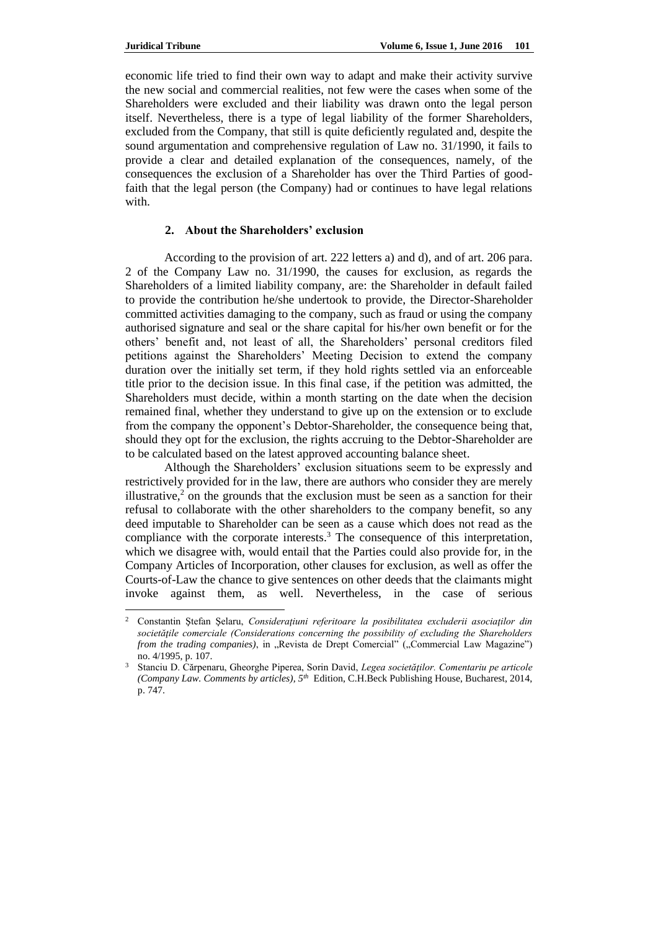$\overline{\phantom{a}}$ 

economic life tried to find their own way to adapt and make their activity survive the new social and commercial realities, not few were the cases when some of the Shareholders were excluded and their liability was drawn onto the legal person itself. Nevertheless, there is a type of legal liability of the former Shareholders, excluded from the Company, that still is quite deficiently regulated and, despite the sound argumentation and comprehensive regulation of Law no. 31/1990, it fails to provide a clear and detailed explanation of the consequences, namely, of the consequences the exclusion of a Shareholder has over the Third Parties of goodfaith that the legal person (the Company) had or continues to have legal relations with.

### **2. About the Shareholders' exclusion**

According to the provision of art. 222 letters a) and d), and of art. 206 para. 2 of the Company Law no. 31/1990, the causes for exclusion, as regards the Shareholders of a limited liability company, are: the Shareholder in default failed to provide the contribution he/she undertook to provide, the Director-Shareholder committed activities damaging to the company, such as fraud or using the company authorised signature and seal or the share capital for his/her own benefit or for the others' benefit and, not least of all, the Shareholders' personal creditors filed petitions against the Shareholders' Meeting Decision to extend the company duration over the initially set term, if they hold rights settled via an enforceable title prior to the decision issue. In this final case, if the petition was admitted, the Shareholders must decide, within a month starting on the date when the decision remained final, whether they understand to give up on the extension or to exclude from the company the opponent's Debtor-Shareholder, the consequence being that, should they opt for the exclusion, the rights accruing to the Debtor-Shareholder are to be calculated based on the latest approved accounting balance sheet.

Although the Shareholders' exclusion situations seem to be expressly and restrictively provided for in the law, there are authors who consider they are merely illustrative, $<sup>2</sup>$  on the grounds that the exclusion must be seen as a sanction for their</sup> refusal to collaborate with the other shareholders to the company benefit, so any deed imputable to Shareholder can be seen as a cause which does not read as the compliance with the corporate interests.<sup>3</sup> The consequence of this interpretation, which we disagree with, would entail that the Parties could also provide for, in the Company Articles of Incorporation, other clauses for exclusion, as well as offer the Courts-of-Law the chance to give sentences on other deeds that the claimants might invoke against them, as well. Nevertheless, in the case of serious

<sup>2</sup> Constantin Ştefan Şelaru, *Consideraţiuni referitoare la posibilitatea excluderii asociaţilor din societăţile comerciale (Considerations concerning the possibility of excluding the Shareholders from the trading companies*), in "Revista de Drept Comercial" ("Commercial Law Magazine") no. 4/1995, p. 107.

<sup>&</sup>lt;sup>3</sup> Stanciu D. Cărpenaru, Gheorghe Piperea, Sorin David, *Legea societăților. Comentariu pe articole (Company Law. Comments by articles), 5th* Edition, C.H.Beck Publishing House, Bucharest, 2014, p. 747.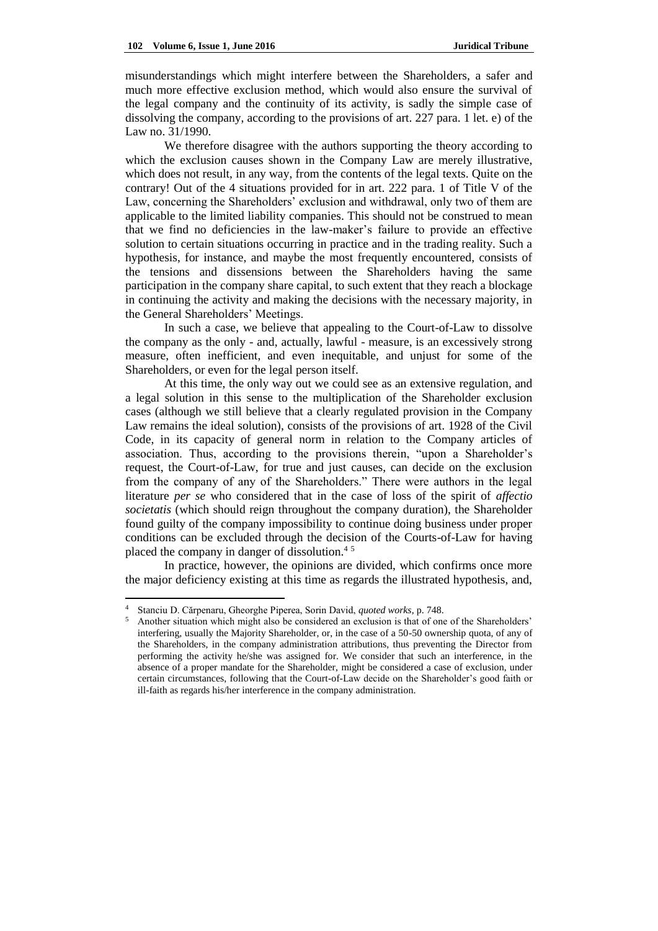misunderstandings which might interfere between the Shareholders, a safer and much more effective exclusion method, which would also ensure the survival of the legal company and the continuity of its activity, is sadly the simple case of dissolving the company, according to the provisions of art. 227 para. 1 let. e) of the Law no. 31/1990.

We therefore disagree with the authors supporting the theory according to which the exclusion causes shown in the Company Law are merely illustrative, which does not result, in any way, from the contents of the legal texts. Quite on the contrary! Out of the 4 situations provided for in art. 222 para. 1 of Title V of the Law, concerning the Shareholders' exclusion and withdrawal, only two of them are applicable to the limited liability companies. This should not be construed to mean that we find no deficiencies in the law-maker's failure to provide an effective solution to certain situations occurring in practice and in the trading reality. Such a hypothesis, for instance, and maybe the most frequently encountered, consists of the tensions and dissensions between the Shareholders having the same participation in the company share capital, to such extent that they reach a blockage in continuing the activity and making the decisions with the necessary majority, in the General Shareholders' Meetings.

In such a case, we believe that appealing to the Court-of-Law to dissolve the company as the only - and, actually, lawful - measure, is an excessively strong measure, often inefficient, and even inequitable, and unjust for some of the Shareholders, or even for the legal person itself.

At this time, the only way out we could see as an extensive regulation, and a legal solution in this sense to the multiplication of the Shareholder exclusion cases (although we still believe that a clearly regulated provision in the Company Law remains the ideal solution), consists of the provisions of art. 1928 of the Civil Code, in its capacity of general norm in relation to the Company articles of association. Thus, according to the provisions therein, "upon a Shareholder's request, the Court-of-Law, for true and just causes, can decide on the exclusion from the company of any of the Shareholders." There were authors in the legal literature *per se* who considered that in the case of loss of the spirit of *affectio societatis* (which should reign throughout the company duration), the Shareholder found guilty of the company impossibility to continue doing business under proper conditions can be excluded through the decision of the Courts-of-Law for having placed the company in danger of dissolution.<sup>4</sup> <sup>5</sup>

In practice, however, the opinions are divided, which confirms once more the major deficiency existing at this time as regards the illustrated hypothesis, and,

 $\overline{a}$ 

<sup>4</sup> Stanciu D. Cărpenaru, Gheorghe Piperea, Sorin David, *quoted works*, p. 748.

<sup>5</sup> Another situation which might also be considered an exclusion is that of one of the Shareholders' interfering, usually the Majority Shareholder, or, in the case of a 50-50 ownership quota, of any of the Shareholders, in the company administration attributions, thus preventing the Director from performing the activity he/she was assigned for. We consider that such an interference, in the absence of a proper mandate for the Shareholder, might be considered a case of exclusion, under certain circumstances, following that the Court-of-Law decide on the Shareholder's good faith or ill-faith as regards his/her interference in the company administration.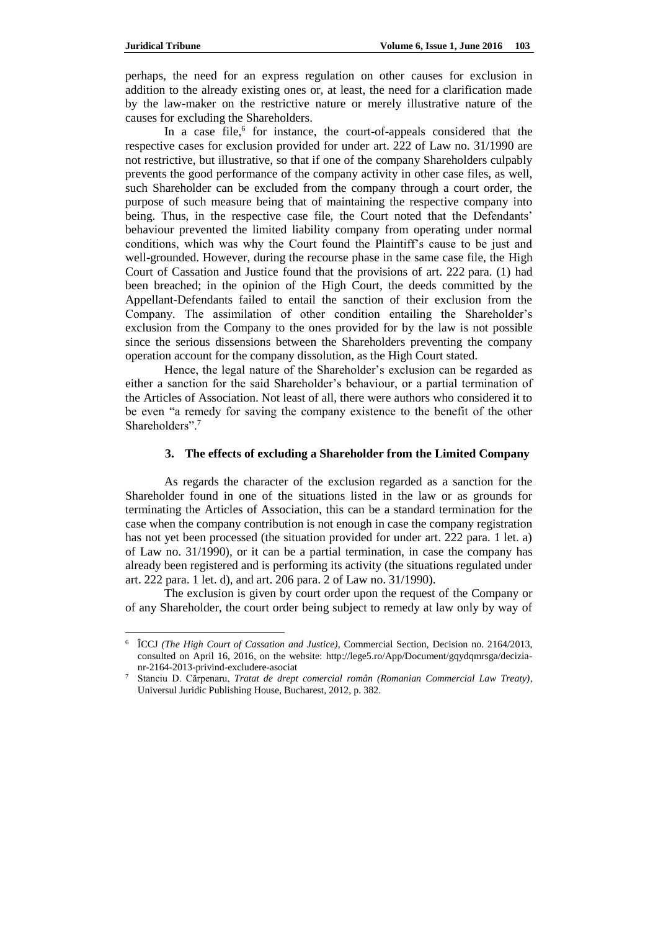perhaps, the need for an express regulation on other causes for exclusion in addition to the already existing ones or, at least, the need for a clarification made by the law-maker on the restrictive nature or merely illustrative nature of the causes for excluding the Shareholders.

In a case file,<sup>6</sup> for instance, the court-of-appeals considered that the respective cases for exclusion provided for under art. 222 of Law no. 31/1990 are not restrictive, but illustrative, so that if one of the company Shareholders culpably prevents the good performance of the company activity in other case files, as well, such Shareholder can be excluded from the company through a court order, the purpose of such measure being that of maintaining the respective company into being. Thus, in the respective case file, the Court noted that the Defendants' behaviour prevented the limited liability company from operating under normal conditions, which was why the Court found the Plaintiff's cause to be just and well-grounded. However, during the recourse phase in the same case file, the High Court of Cassation and Justice found that the provisions of art. 222 [para. \(1\)](http://lege5.ro/App/Document/gy4diobx/legea-societatilor-nr-31-1990?pid=25971233&d=2016-04-16#p-25971233) had been breached; in the opinion of the High Court, the deeds committed by the Appellant-Defendants failed to entail the sanction of their exclusion from the Company. The assimilation of other condition entailing the Shareholder's exclusion from the Company to the ones provided for by the law is not possible since the serious dissensions between the Shareholders preventing the company operation account for the company dissolution, as the High Court stated.

Hence, the legal nature of the Shareholder's exclusion can be regarded as either a sanction for the said Shareholder's behaviour, or a partial termination of the Articles of Association. Not least of all, there were authors who considered it to be even "a remedy for saving the company existence to the benefit of the other Shareholders".<sup>7</sup>

# **3. The effects of excluding a Shareholder from the Limited Company**

As regards the character of the exclusion regarded as a sanction for the Shareholder found in one of the situations listed in the law or as grounds for terminating the Articles of Association, this can be a standard termination for the case when the company contribution is not enough in case the company registration has not yet been processed (the situation provided for under art. 222 para. 1 let. a) of Law no. 31/1990), or it can be a partial termination, in case the company has already been registered and is performing its activity (the situations regulated under art. 222 para. 1 let. d), and art. 206 para. 2 of Law no. 31/1990).

The exclusion is given by court order upon the request of the Company or of any Shareholder, the court order being subject to remedy at law only by way of

 $\overline{a}$ 6 ÎCCJ *(The High Court of Cassation and Justice)*, Commercial Section, Decision no. 2164/2013, consulted on April 16, 2016, on the website: [http://lege5.ro/App/Document/gqydqmrsga/decizia](http://lege5.ro/App/Document/gqydqmrsga/decizia-nr-2164-2013-privind-excludere-asociat)[nr-2164-2013-privind-excludere-asociat](http://lege5.ro/App/Document/gqydqmrsga/decizia-nr-2164-2013-privind-excludere-asociat)

<sup>7</sup> Stanciu D. Cărpenaru, *Tratat de drept comercial român (Romanian Commercial Law Treaty)*, Universul Juridic Publishing House, Bucharest, 2012, p. 382.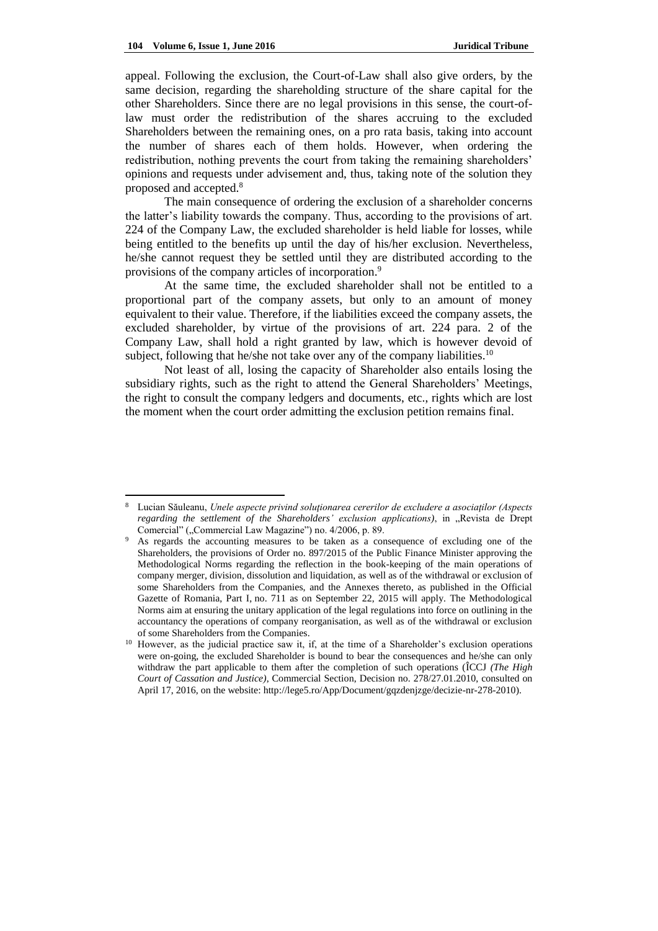$\overline{\phantom{a}}$ 

appeal. Following the exclusion, the Court-of-Law shall also give orders, by the same decision, regarding the shareholding structure of the share capital for the other Shareholders. Since there are no legal provisions in this sense, the court-oflaw must order the redistribution of the shares accruing to the excluded Shareholders between the remaining ones, on a pro rata basis, taking into account the number of shares each of them holds. However, when ordering the redistribution, nothing prevents the court from taking the remaining shareholders' opinions and requests under advisement and, thus, taking note of the solution they proposed and accepted.<sup>8</sup>

The main consequence of ordering the exclusion of a shareholder concerns the latter's liability towards the company. Thus, according to the provisions of art. 224 of the Company Law, the excluded shareholder is held liable for losses, while being entitled to the benefits up until the day of his/her exclusion. Nevertheless, he/she cannot request they be settled until they are distributed according to the provisions of the company articles of incorporation.<sup>9</sup>

At the same time, the excluded shareholder shall not be entitled to a proportional part of the company assets, but only to an amount of money equivalent to their value. Therefore, if the liabilities exceed the company assets, the excluded shareholder, by virtue of the provisions of art. 224 para. 2 of the Company Law, shall hold a right granted by law, which is however devoid of subject, following that he/she not take over any of the company liabilities.<sup>10</sup>

Not least of all, losing the capacity of Shareholder also entails losing the subsidiary rights, such as the right to attend the General Shareholders' Meetings, the right to consult the company ledgers and documents, etc., rights which are lost the moment when the court order admitting the exclusion petition remains final.

<sup>8</sup> Lucian Săuleanu, *Unele aspecte privind soluţionarea cererilor de excludere a asociaţilor (Aspects*  regarding the settlement of the Shareholders' exclusion applications), in "Revista de Drept Comercial" ("Commercial Law Magazine") no. 4/2006, p. 89.

As regards the accounting measures to be taken as a consequence of excluding one of the Shareholders, the provisions of Order no. 897/2015 of the Public Finance Minister approving the Methodological Norms regarding the reflection in the book-keeping of the main operations of company merger, division, dissolution and liquidation, as well as of the withdrawal or exclusion of some Shareholders from the Companies, and the Annexes thereto, as published in the Official Gazette of Romania, Part I, no. 711 as on September 22, 2015 will apply. The Methodological Norms aim at ensuring the unitary application of the legal regulations into force on outlining in the accountancy the operations of company reorganisation, as well as of the withdrawal or exclusion of some Shareholders from the Companies.

<sup>10</sup> However, as the judicial practice saw it, if, at the time of a Shareholder's exclusion operations were on-going, the excluded Shareholder is bound to bear the consequences and he/she can only withdraw the part applicable to them after the completion of such operations (ÎCCJ *(The High Court of Cassation and Justice)*, Commercial Section, Decision no. 278/27.01.2010, consulted on April 17, 2016, on the website: http://lege5.ro/App/Document/gqzdenjzge/decizie-nr-278-2010).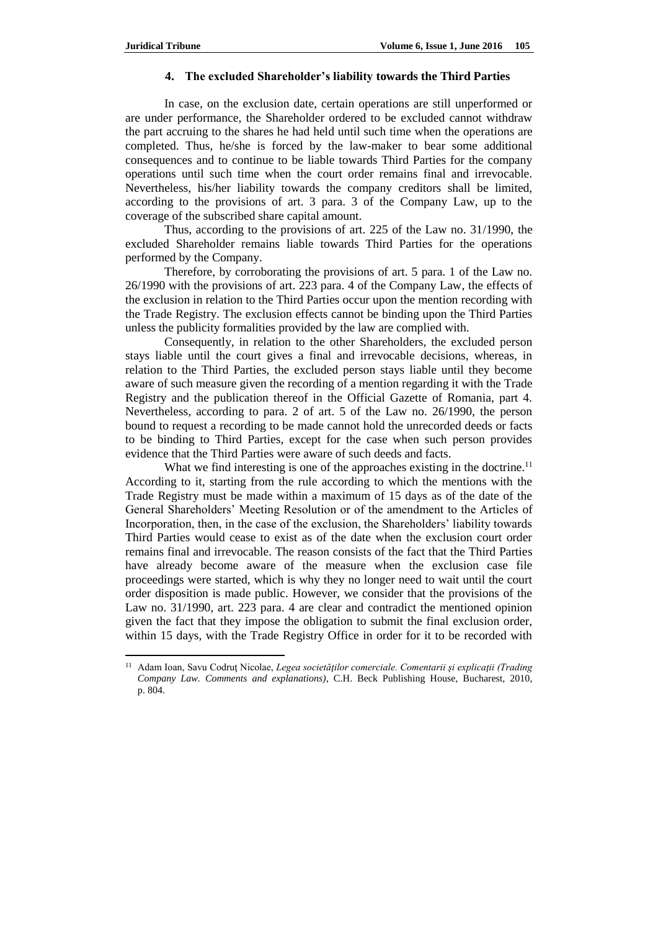$\overline{a}$ 

#### **4. The excluded Shareholder's liability towards the Third Parties**

In case, on the exclusion date, certain operations are still unperformed or are under performance, the Shareholder ordered to be excluded cannot withdraw the part accruing to the shares he had held until such time when the operations are completed. Thus, he/she is forced by the law-maker to bear some additional consequences and to continue to be liable towards Third Parties for the company operations until such time when the court order remains final and irrevocable. Nevertheless, his/her liability towards the company creditors shall be limited, according to the provisions of art. 3 para. 3 of the Company Law, up to the coverage of the subscribed share capital amount.

Thus, according to the provisions of art. 225 of the Law no. 31/1990, the excluded Shareholder remains liable towards Third Parties for the operations performed by the Company.

Therefore, by corroborating the provisions of art. 5 para. 1 of the Law no. 26/1990 with the provisions of art. 223 para. 4 of the Company Law, the effects of the exclusion in relation to the Third Parties occur upon the mention recording with the Trade Registry. The exclusion effects cannot be binding upon the Third Parties unless the publicity formalities provided by the law are complied with.

Consequently, in relation to the other Shareholders, the excluded person stays liable until the court gives a final and irrevocable decisions, whereas, in relation to the Third Parties, the excluded person stays liable until they become aware of such measure given the recording of a mention regarding it with the Trade Registry and the publication thereof in the Official Gazette of Romania, part 4. Nevertheless, according to para. 2 of art. 5 of the Law no. 26/1990, the person bound to request a recording to be made cannot hold the unrecorded deeds or facts to be binding to Third Parties, except for the case when such person provides evidence that the Third Parties were aware of such deeds and facts.

What we find interesting is one of the approaches existing in the doctrine.<sup>11</sup> According to it, starting from the rule according to which the mentions with the Trade Registry must be made within a maximum of 15 days as of the date of the General Shareholders' Meeting Resolution or of the amendment to the Articles of Incorporation, then, in the case of the exclusion, the Shareholders' liability towards Third Parties would cease to exist as of the date when the exclusion court order remains final and irrevocable. The reason consists of the fact that the Third Parties have already become aware of the measure when the exclusion case file proceedings were started, which is why they no longer need to wait until the court order disposition is made public. However, we consider that the provisions of the Law no. 31/1990, art. 223 para. 4 are clear and contradict the mentioned opinion given the fact that they impose the obligation to submit the final exclusion order, within 15 days, with the Trade Registry Office in order for it to be recorded with

<sup>&</sup>lt;sup>11</sup> Adam Ioan, Savu Codrut Nicolae, *Legea societăților comerciale. Comentarii și explicații (Trading Company Law. Comments and explanations)*, C.H. Beck Publishing House, Bucharest, 2010, p. 804.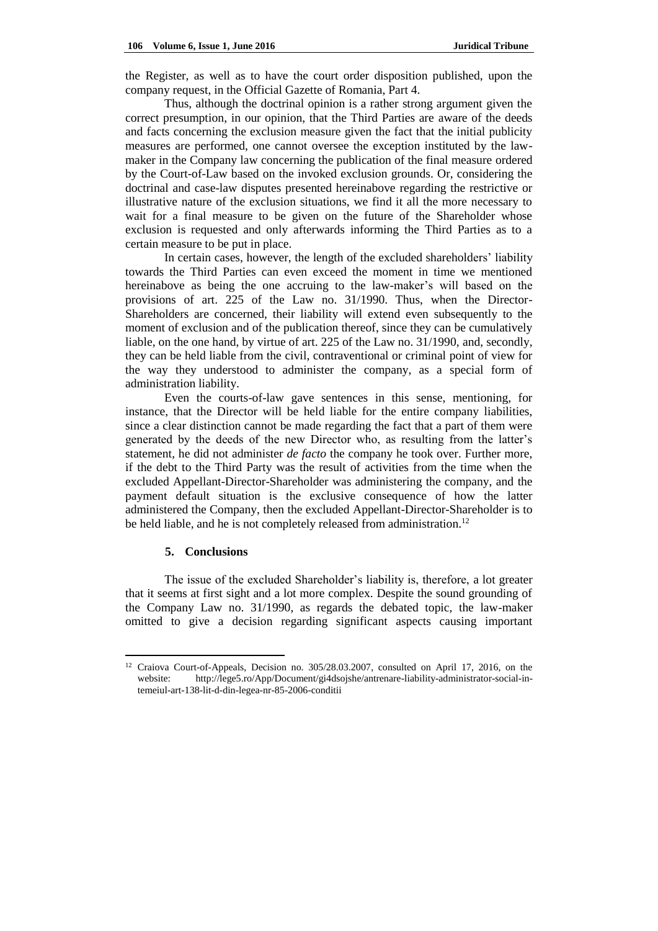the Register, as well as to have the court order disposition published, upon the company request, in the Official Gazette of Romania, Part 4.

Thus, although the doctrinal opinion is a rather strong argument given the correct presumption, in our opinion, that the Third Parties are aware of the deeds and facts concerning the exclusion measure given the fact that the initial publicity measures are performed, one cannot oversee the exception instituted by the lawmaker in the Company law concerning the publication of the final measure ordered by the Court-of-Law based on the invoked exclusion grounds. Or, considering the doctrinal and case-law disputes presented hereinabove regarding the restrictive or illustrative nature of the exclusion situations, we find it all the more necessary to wait for a final measure to be given on the future of the Shareholder whose exclusion is requested and only afterwards informing the Third Parties as to a certain measure to be put in place.

In certain cases, however, the length of the excluded shareholders' liability towards the Third Parties can even exceed the moment in time we mentioned hereinabove as being the one accruing to the law-maker's will based on the provisions of art. 225 of the Law no. 31/1990. Thus, when the Director-Shareholders are concerned, their liability will extend even subsequently to the moment of exclusion and of the publication thereof, since they can be cumulatively liable, on the one hand, by virtue of art. 225 of the Law no. 31/1990, and, secondly, they can be held liable from the civil, contraventional or criminal point of view for the way they understood to administer the company, as a special form of administration liability.

Even the courts-of-law gave sentences in this sense, mentioning, for instance, that the Director will be held liable for the entire company liabilities, since a clear distinction cannot be made regarding the fact that a part of them were generated by the deeds of the new Director who, as resulting from the latter's statement, he did not administer *de facto* the company he took over. Further more, if the debt to the Third Party was the result of activities from the time when the excluded Appellant-Director-Shareholder was administering the company, and the payment default situation is the exclusive consequence of how the latter administered the Company, then the excluded Appellant-Director-Shareholder is to be held liable, and he is not completely released from administration.<sup>12</sup>

### **5. Conclusions**

 $\overline{a}$ 

The issue of the excluded Shareholder's liability is, therefore, a lot greater that it seems at first sight and a lot more complex. Despite the sound grounding of the Company Law no. 31/1990, as regards the debated topic, the law-maker omitted to give a decision regarding significant aspects causing important

<sup>12</sup> Craiova Court-of-Appeals, Decision no. 305/28.03.2007, consulted on April 17, 2016, on the website: [http://lege5.ro/App/Document/gi4dsojshe/antrenare-liability-administrator-social-in](http://lege5.ro/App/Document/gi4dsojshe/antrenare-liability-administrator-social-in-temeiul-art-138-lit-d-din-legea-nr-85-2006-conditii)[temeiul-art-138-lit-d-din-legea-nr-85-2006-conditii](http://lege5.ro/App/Document/gi4dsojshe/antrenare-liability-administrator-social-in-temeiul-art-138-lit-d-din-legea-nr-85-2006-conditii)